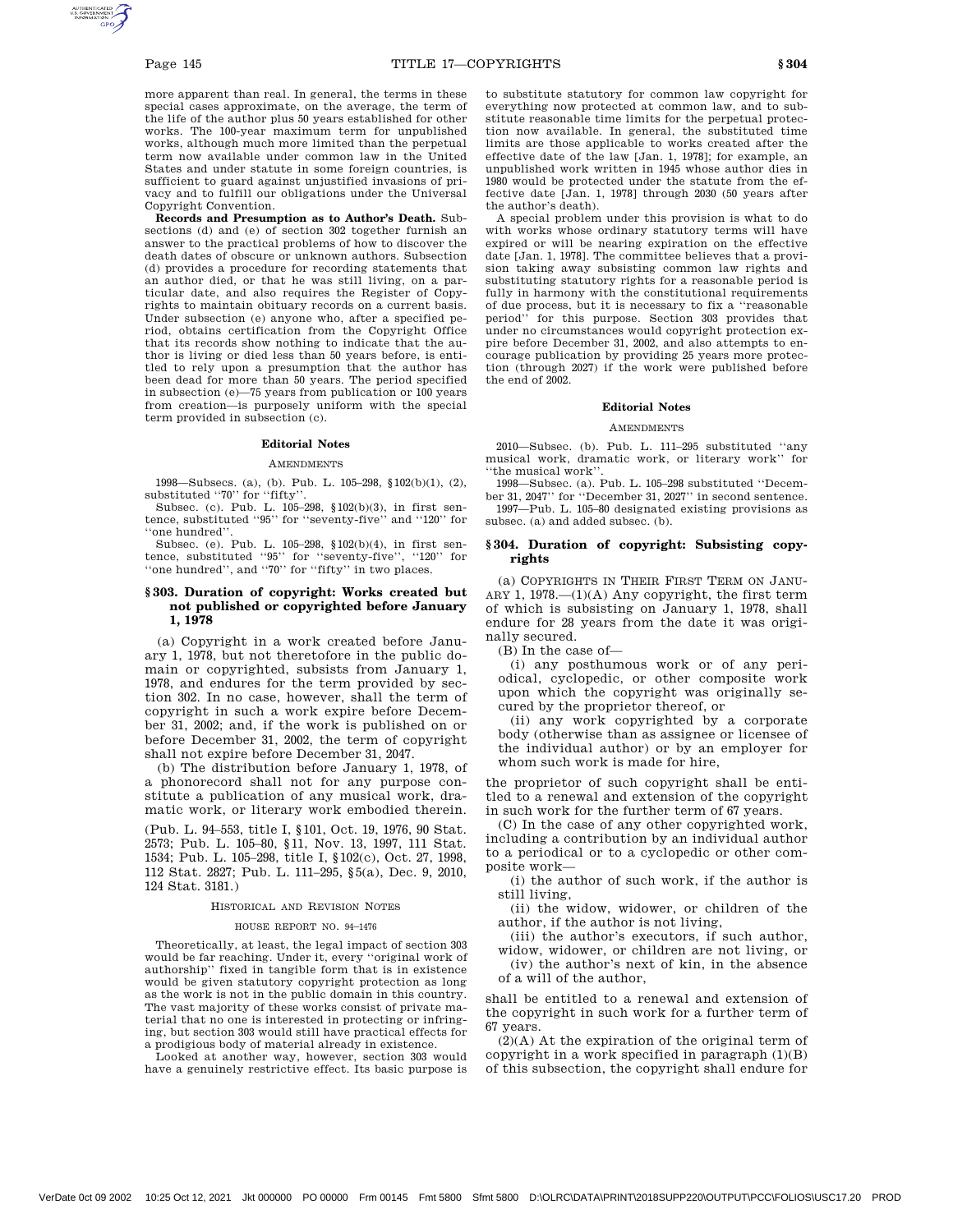more apparent than real. In general, the terms in these special cases approximate, on the average, the term of the life of the author plus 50 years established for other works. The 100-year maximum term for unpublished works, although much more limited than the perpetual term now available under common law in the United States and under statute in some foreign countries, is sufficient to guard against unjustified invasions of privacy and to fulfill our obligations under the Universal Copyright Convention.

**Records and Presumption as to Author's Death.** Subsections (d) and (e) of section 302 together furnish an answer to the practical problems of how to discover the death dates of obscure or unknown authors. Subsection (d) provides a procedure for recording statements that an author died, or that he was still living, on a particular date, and also requires the Register of Copyrights to maintain obituary records on a current basis. Under subsection (e) anyone who, after a specified period, obtains certification from the Copyright Office that its records show nothing to indicate that the author is living or died less than 50 years before, is entitled to rely upon a presumption that the author has been dead for more than 50 years. The period specified in subsection (e)—75 years from publication or 100 years from creation—is purposely uniform with the special term provided in subsection (c).

### **Editorial Notes**

#### **AMENDMENTS**

1998—Subsecs. (a), (b). Pub. L. 105–298, §102(b)(1), (2), substituted ''70'' for ''fifty''.

Subsec. (c). Pub. L. 105–298, §102(b)(3), in first sentence, substituted ''95'' for ''seventy-five'' and ''120'' for ''one hundred''.

Subsec. (e). Pub. L. 105–298, §102(b)(4), in first sentence, substituted ''95'' for ''seventy-five'', ''120'' for ''one hundred'', and ''70'' for ''fifty'' in two places.

# **§ 303. Duration of copyright: Works created but not published or copyrighted before January 1, 1978**

(a) Copyright in a work created before January 1, 1978, but not theretofore in the public domain or copyrighted, subsists from January 1, 1978, and endures for the term provided by section 302. In no case, however, shall the term of copyright in such a work expire before December 31, 2002; and, if the work is published on or before December 31, 2002, the term of copyright shall not expire before December 31, 2047.

(b) The distribution before January 1, 1978, of a phonorecord shall not for any purpose constitute a publication of any musical work, dramatic work, or literary work embodied therein.

(Pub. L. 94–553, title I, §101, Oct. 19, 1976, 90 Stat. 2573; Pub. L. 105–80, §11, Nov. 13, 1997, 111 Stat. 1534; Pub. L. 105–298, title I, §102(c), Oct. 27, 1998, 112 Stat. 2827; Pub. L. 111–295, §5(a), Dec. 9, 2010, 124 Stat. 3181.)

# HISTORICAL AND REVISION NOTES

#### HOUSE REPORT NO. 94–1476

Theoretically, at least, the legal impact of section 303 would be far reaching. Under it, every ''original work of authorship'' fixed in tangible form that is in existence would be given statutory copyright protection as long as the work is not in the public domain in this country. The vast majority of these works consist of private material that no one is interested in protecting or infringing, but section 303 would still have practical effects for a prodigious body of material already in existence.

Looked at another way, however, section 303 would have a genuinely restrictive effect. Its basic purpose is to substitute statutory for common law copyright for everything now protected at common law, and to substitute reasonable time limits for the perpetual protection now available. In general, the substituted time limits are those applicable to works created after the effective date of the law [Jan. 1, 1978]; for example, an unpublished work written in 1945 whose author dies in 1980 would be protected under the statute from the effective date [Jan. 1, 1978] through 2030 (50 years after the author's death).

A special problem under this provision is what to do with works whose ordinary statutory terms will have expired or will be nearing expiration on the effective date [Jan. 1, 1978]. The committee believes that a provision taking away subsisting common law rights and substituting statutory rights for a reasonable period is fully in harmony with the constitutional requirements of due process, but it is necessary to fix a ''reasonable period'' for this purpose. Section 303 provides that under no circumstances would copyright protection expire before December 31, 2002, and also attempts to encourage publication by providing 25 years more protection (through 2027) if the work were published before the end of 2002.

#### **Editorial Notes**

#### **AMENDMENTS**

2010—Subsec. (b). Pub. L. 111–295 substituted ''any musical work, dramatic work, or literary work'' for ''the musical work''.

1998—Subsec. (a). Pub. L. 105–298 substituted ''December 31, 2047'' for ''December 31, 2027'' in second sentence.

1997—Pub. L. 105–80 designated existing provisions as subsec. (a) and added subsec. (b).

# **§ 304. Duration of copyright: Subsisting copyrights**

(a) COPYRIGHTS IN THEIR FIRST TERM ON JANU-ARY 1,  $1978$ ,  $-(1)(A)$  Any copyright, the first term of which is subsisting on January 1, 1978, shall endure for 28 years from the date it was originally secured.

(B) In the case of—

(i) any posthumous work or of any periodical, cyclopedic, or other composite work upon which the copyright was originally secured by the proprietor thereof, or

(ii) any work copyrighted by a corporate body (otherwise than as assignee or licensee of the individual author) or by an employer for whom such work is made for hire,

the proprietor of such copyright shall be entitled to a renewal and extension of the copyright in such work for the further term of 67 years.

(C) In the case of any other copyrighted work, including a contribution by an individual author to a periodical or to a cyclopedic or other composite work—

(i) the author of such work, if the author is still living,

(ii) the widow, widower, or children of the author, if the author is not living,

(iii) the author's executors, if such author,

widow, widower, or children are not living, or (iv) the author's next of kin, in the absence of a will of the author,

shall be entitled to a renewal and extension of the copyright in such work for a further term of 67 years.

(2)(A) At the expiration of the original term of copyright in a work specified in paragraph  $(1)(B)$ of this subsection, the copyright shall endure for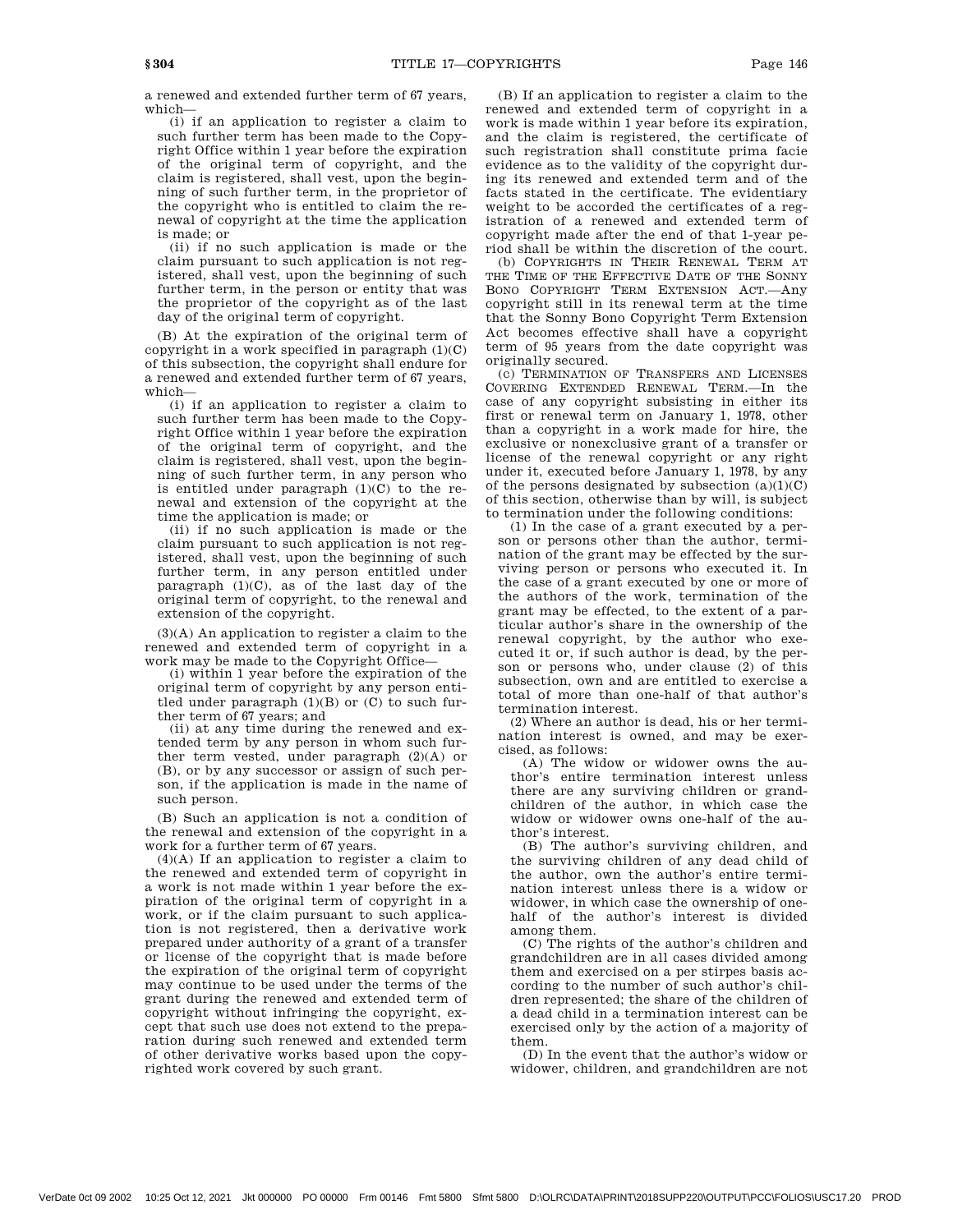a renewed and extended further term of 67 years, which—

(i) if an application to register a claim to such further term has been made to the Copyright Office within 1 year before the expiration of the original term of copyright, and the claim is registered, shall vest, upon the beginning of such further term, in the proprietor of the copyright who is entitled to claim the renewal of copyright at the time the application is made; or

(ii) if no such application is made or the claim pursuant to such application is not registered, shall vest, upon the beginning of such further term, in the person or entity that was the proprietor of the copyright as of the last day of the original term of copyright.

(B) At the expiration of the original term of copyright in a work specified in paragraph  $(1)(C)$ of this subsection, the copyright shall endure for a renewed and extended further term of 67 years, which—

(i) if an application to register a claim to such further term has been made to the Copyright Office within 1 year before the expiration of the original term of copyright, and the claim is registered, shall vest, upon the beginning of such further term, in any person who is entitled under paragraph  $(1)(C)$  to the renewal and extension of the copyright at the time the application is made; or

(ii) if no such application is made or the claim pursuant to such application is not registered, shall vest, upon the beginning of such further term, in any person entitled under paragraph  $(1)(C)$ , as of the last day of the original term of copyright, to the renewal and extension of the copyright.

(3)(A) An application to register a claim to the renewed and extended term of copyright in a work may be made to the Copyright Office—

(i) within 1 year before the expiration of the original term of copyright by any person entitled under paragraph  $(1)(B)$  or  $(C)$  to such further term of 67 years; and

(ii) at any time during the renewed and extended term by any person in whom such further term vested, under paragraph (2)(A) or (B), or by any successor or assign of such person, if the application is made in the name of such person.

(B) Such an application is not a condition of the renewal and extension of the copyright in a work for a further term of 67 years.

(4)(A) If an application to register a claim to the renewed and extended term of copyright in a work is not made within 1 year before the expiration of the original term of copyright in a work, or if the claim pursuant to such application is not registered, then a derivative work prepared under authority of a grant of a transfer or license of the copyright that is made before the expiration of the original term of copyright may continue to be used under the terms of the grant during the renewed and extended term of copyright without infringing the copyright, except that such use does not extend to the preparation during such renewed and extended term of other derivative works based upon the copyrighted work covered by such grant.

(B) If an application to register a claim to the renewed and extended term of copyright in a work is made within 1 year before its expiration, and the claim is registered, the certificate of such registration shall constitute prima facie evidence as to the validity of the copyright during its renewed and extended term and of the facts stated in the certificate. The evidentiary weight to be accorded the certificates of a registration of a renewed and extended term of copyright made after the end of that 1-year period shall be within the discretion of the court.

(b) COPYRIGHTS IN THEIR RENEWAL TERM AT THE TIME OF THE EFFECTIVE DATE OF THE SONNY BONO COPYRIGHT TERM EXTENSION ACT.—Any copyright still in its renewal term at the time that the Sonny Bono Copyright Term Extension Act becomes effective shall have a copyright term of 95 years from the date copyright was originally secured.

(c) TERMINATION OF TRANSFERS AND LICENSES COVERING EXTENDED RENEWAL TERM.—In the case of any copyright subsisting in either its first or renewal term on January 1, 1978, other than a copyright in a work made for hire, the exclusive or nonexclusive grant of a transfer or license of the renewal copyright or any right under it, executed before January 1, 1978, by any of the persons designated by subsection  $(a)(1)(C)$ of this section, otherwise than by will, is subject to termination under the following conditions:

(1) In the case of a grant executed by a person or persons other than the author, termination of the grant may be effected by the surviving person or persons who executed it. In the case of a grant executed by one or more of the authors of the work, termination of the grant may be effected, to the extent of a particular author's share in the ownership of the renewal copyright, by the author who executed it or, if such author is dead, by the person or persons who, under clause (2) of this subsection, own and are entitled to exercise a total of more than one-half of that author's termination interest.

(2) Where an author is dead, his or her termination interest is owned, and may be exercised, as follows:

(A) The widow or widower owns the author's entire termination interest unless there are any surviving children or grandchildren of the author, in which case the widow or widower owns one-half of the author's interest.

(B) The author's surviving children, and the surviving children of any dead child of the author, own the author's entire termination interest unless there is a widow or widower, in which case the ownership of onehalf of the author's interest is divided among them.

(C) The rights of the author's children and grandchildren are in all cases divided among them and exercised on a per stirpes basis according to the number of such author's children represented; the share of the children of a dead child in a termination interest can be exercised only by the action of a majority of them.

(D) In the event that the author's widow or widower, children, and grandchildren are not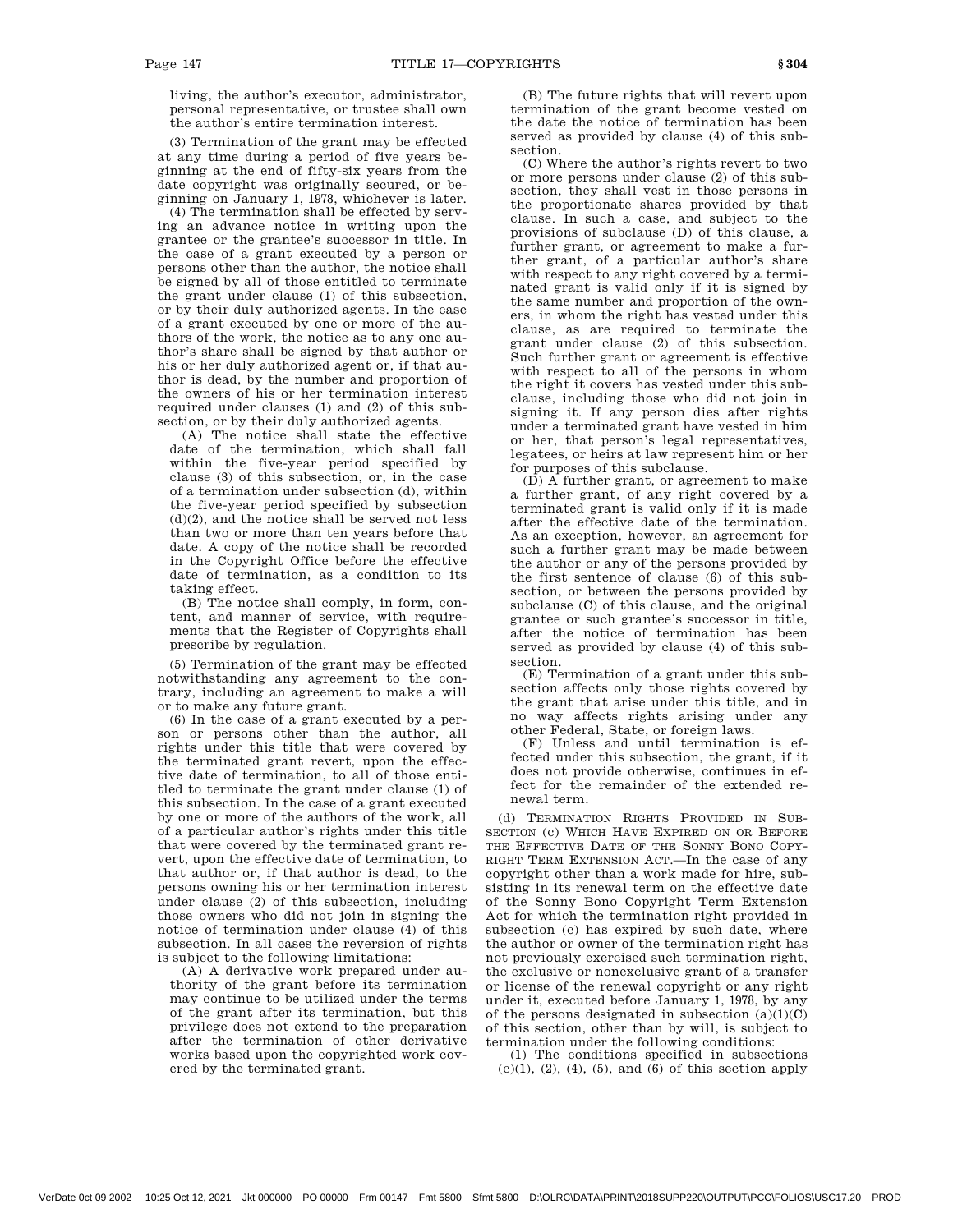living, the author's executor, administrator, personal representative, or trustee shall own the author's entire termination interest.

(3) Termination of the grant may be effected at any time during a period of five years beginning at the end of fifty-six years from the date copyright was originally secured, or beginning on January 1, 1978, whichever is later.

(4) The termination shall be effected by serving an advance notice in writing upon the grantee or the grantee's successor in title. In the case of a grant executed by a person or persons other than the author, the notice shall be signed by all of those entitled to terminate the grant under clause (1) of this subsection, or by their duly authorized agents. In the case of a grant executed by one or more of the authors of the work, the notice as to any one author's share shall be signed by that author or his or her duly authorized agent or, if that author is dead, by the number and proportion of the owners of his or her termination interest required under clauses  $(1)$  and  $(2)$  of this subsection, or by their duly authorized agents.

(A) The notice shall state the effective date of the termination, which shall fall within the five-year period specified by clause (3) of this subsection, or, in the case of a termination under subsection (d), within the five-year period specified by subsection  $(d)(2)$ , and the notice shall be served not less than two or more than ten years before that date. A copy of the notice shall be recorded in the Copyright Office before the effective date of termination, as a condition to its taking effect.

(B) The notice shall comply, in form, content, and manner of service, with requirements that the Register of Copyrights shall prescribe by regulation.

(5) Termination of the grant may be effected notwithstanding any agreement to the contrary, including an agreement to make a will or to make any future grant.

(6) In the case of a grant executed by a person or persons other than the author, all rights under this title that were covered by the terminated grant revert, upon the effective date of termination, to all of those entitled to terminate the grant under clause (1) of this subsection. In the case of a grant executed by one or more of the authors of the work, all of a particular author's rights under this title that were covered by the terminated grant revert, upon the effective date of termination, to that author or, if that author is dead, to the persons owning his or her termination interest under clause (2) of this subsection, including those owners who did not join in signing the notice of termination under clause (4) of this subsection. In all cases the reversion of rights is subject to the following limitations:

(A) A derivative work prepared under authority of the grant before its termination may continue to be utilized under the terms of the grant after its termination, but this privilege does not extend to the preparation after the termination of other derivative works based upon the copyrighted work covered by the terminated grant.

(B) The future rights that will revert upon termination of the grant become vested on the date the notice of termination has been served as provided by clause (4) of this subsection.

(C) Where the author's rights revert to two or more persons under clause (2) of this subsection, they shall vest in those persons in the proportionate shares provided by that clause. In such a case, and subject to the provisions of subclause (D) of this clause, a further grant, or agreement to make a further grant, of a particular author's share with respect to any right covered by a terminated grant is valid only if it is signed by the same number and proportion of the owners, in whom the right has vested under this clause, as are required to terminate the grant under clause (2) of this subsection. Such further grant or agreement is effective with respect to all of the persons in whom the right it covers has vested under this subclause, including those who did not join in signing it. If any person dies after rights under a terminated grant have vested in him or her, that person's legal representatives, legatees, or heirs at law represent him or her for purposes of this subclause.

 $(D)$  A further grant, or agreement to make a further grant, of any right covered by a terminated grant is valid only if it is made after the effective date of the termination. As an exception, however, an agreement for such a further grant may be made between the author or any of the persons provided by the first sentence of clause (6) of this subsection, or between the persons provided by subclause (C) of this clause, and the original grantee or such grantee's successor in title, after the notice of termination has been served as provided by clause (4) of this subsection.

(E) Termination of a grant under this subsection affects only those rights covered by the grant that arise under this title, and in no way affects rights arising under any other Federal, State, or foreign laws.

(F) Unless and until termination is effected under this subsection, the grant, if it does not provide otherwise, continues in effect for the remainder of the extended renewal term.

(d) TERMINATION RIGHTS PROVIDED IN SUB-SECTION (c) WHICH HAVE EXPIRED ON OR BEFORE THE EFFECTIVE DATE OF THE SONNY BONO COPY-RIGHT TERM EXTENSION ACT.—In the case of any copyright other than a work made for hire, subsisting in its renewal term on the effective date of the Sonny Bono Copyright Term Extension Act for which the termination right provided in subsection (c) has expired by such date, where the author or owner of the termination right has not previously exercised such termination right, the exclusive or nonexclusive grant of a transfer or license of the renewal copyright or any right under it, executed before January 1, 1978, by any of the persons designated in subsection  $(a)(1)(C)$ of this section, other than by will, is subject to termination under the following conditions:

(1) The conditions specified in subsections  $(c)(1)$ ,  $(2)$ ,  $(4)$ ,  $(5)$ , and  $(6)$  of this section apply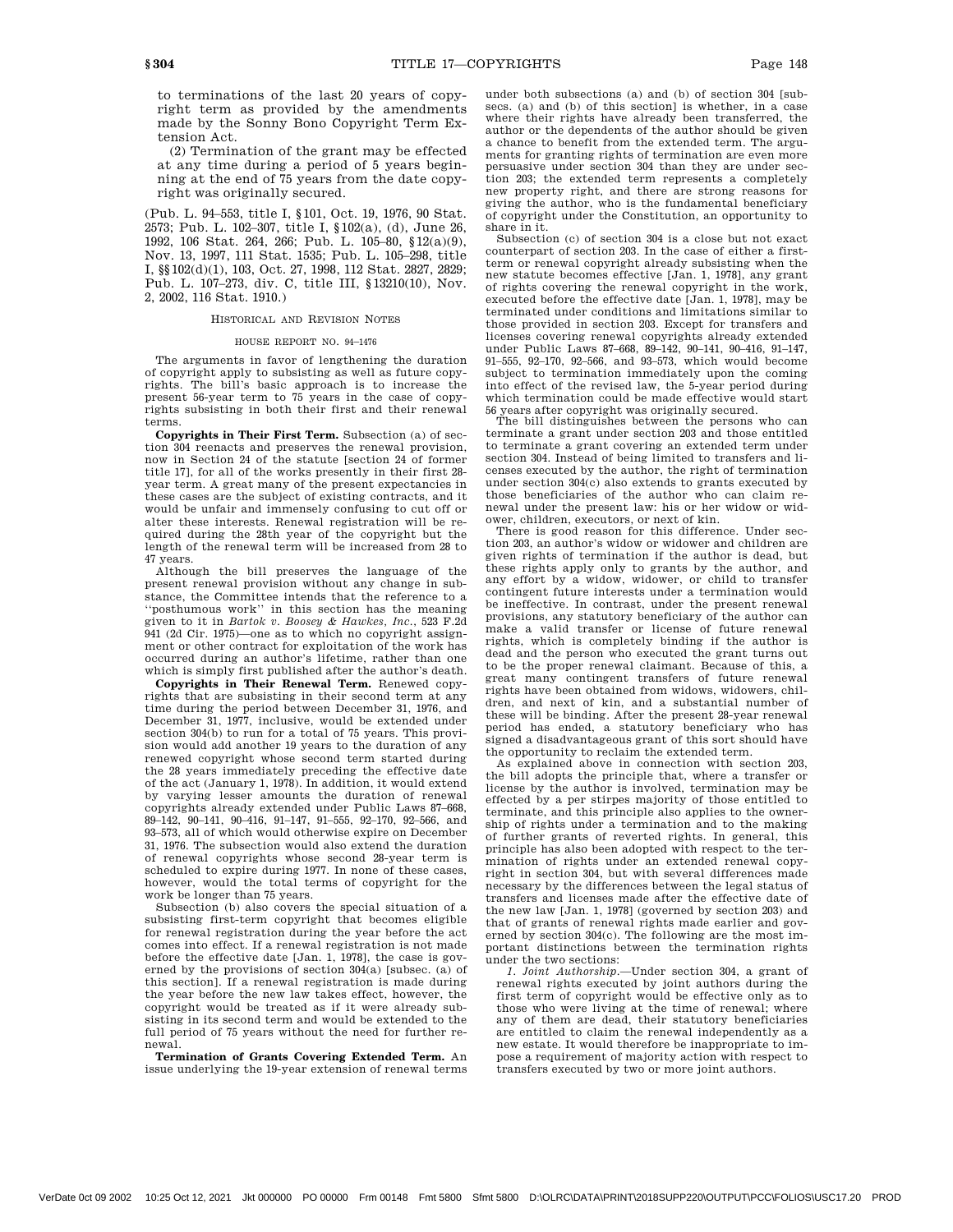to terminations of the last 20 years of copyright term as provided by the amendments made by the Sonny Bono Copyright Term Extension Act.

(2) Termination of the grant may be effected at any time during a period of 5 years beginning at the end of 75 years from the date copyright was originally secured.

(Pub. L. 94–553, title I, §101, Oct. 19, 1976, 90 Stat. 2573; Pub. L. 102–307, title I, §102(a), (d), June 26, 1992, 106 Stat. 264, 266; Pub. L. 105–80, §12(a)(9), Nov. 13, 1997, 111 Stat. 1535; Pub. L. 105–298, title I, §§102(d)(1), 103, Oct. 27, 1998, 112 Stat. 2827, 2829; Pub. L. 107–273, div. C, title III, §13210(10), Nov. 2, 2002, 116 Stat. 1910.)

# HISTORICAL AND REVISION NOTES

# HOUSE REPORT NO. 94–1476

The arguments in favor of lengthening the duration of copyright apply to subsisting as well as future copyrights. The bill's basic approach is to increase the present 56-year term to 75 years in the case of copyrights subsisting in both their first and their renewal terms.

**Copyrights in Their First Term.** Subsection (a) of section 304 reenacts and preserves the renewal provision, now in Section 24 of the statute [section 24 of former title 17], for all of the works presently in their first 28 year term. A great many of the present expectancies in these cases are the subject of existing contracts, and it would be unfair and immensely confusing to cut off or alter these interests. Renewal registration will be required during the 28th year of the copyright but the length of the renewal term will be increased from 28 to 47 years.

Although the bill preserves the language of the present renewal provision without any change in substance, the Committee intends that the reference to a ''posthumous work'' in this section has the meaning given to it in *Bartok v. Boosey & Hawkes, Inc*., 523 F.2d 941 (2d Cir. 1975)—one as to which no copyright assignment or other contract for exploitation of the work has occurred during an author's lifetime, rather than one which is simply first published after the author's death.

**Copyrights in Their Renewal Term.** Renewed copyrights that are subsisting in their second term at any time during the period between December 31, 1976, and December 31, 1977, inclusive, would be extended under section 304(b) to run for a total of 75 years. This provision would add another 19 years to the duration of any renewed copyright whose second term started during the 28 years immediately preceding the effective date of the act (January 1, 1978). In addition, it would extend by varying lesser amounts the duration of renewal copyrights already extended under Public Laws 87–668, 89–142, 90–141, 90–416, 91–147, 91–555, 92–170, 92–566, and 93–573, all of which would otherwise expire on December 31, 1976. The subsection would also extend the duration of renewal copyrights whose second 28-year term is scheduled to expire during 1977. In none of these cases, however, would the total terms of copyright for the work be longer than 75 years.

Subsection (b) also covers the special situation of a subsisting first-term copyright that becomes eligible for renewal registration during the year before the act comes into effect. If a renewal registration is not made before the effective date [Jan. 1, 1978], the case is governed by the provisions of section 304(a) [subsec. (a) of this section]. If a renewal registration is made during the year before the new law takes effect, however, the copyright would be treated as if it were already subsisting in its second term and would be extended to the full period of 75 years without the need for further renewal.

**Termination of Grants Covering Extended Term.** An issue underlying the 19-year extension of renewal terms under both subsections (a) and (b) of section 304 [subsecs. (a) and (b) of this section] is whether, in a case where their rights have already been transferred, the author or the dependents of the author should be given a chance to benefit from the extended term. The arguments for granting rights of termination are even more persuasive under section 304 than they are under section 203; the extended term represents a completely new property right, and there are strong reasons for giving the author, who is the fundamental beneficiary of copyright under the Constitution, an opportunity to share in it.

Subsection (c) of section 304 is a close but not exact counterpart of section 203. In the case of either a firstterm or renewal copyright already subsisting when the new statute becomes effective [Jan. 1, 1978], any grant of rights covering the renewal copyright in the work, executed before the effective date [Jan. 1, 1978], may be terminated under conditions and limitations similar to those provided in section 203. Except for transfers and licenses covering renewal copyrights already extended under Public Laws 87–668, 89–142, 90–141, 90–416, 91–147, 91–555, 92–170, 92–566, and 93–573, which would become subject to termination immediately upon the coming into effect of the revised law, the 5-year period during which termination could be made effective would start 56 years after copyright was originally secured.

The bill distinguishes between the persons who can terminate a grant under section 203 and those entitled to terminate a grant covering an extended term under section 304. Instead of being limited to transfers and licenses executed by the author, the right of termination under section 304(c) also extends to grants executed by those beneficiaries of the author who can claim renewal under the present law: his or her widow or widower, children, executors, or next of kin. There is good reason for this difference. Under sec-

tion 203, an author's widow or widower and children are given rights of termination if the author is dead, but these rights apply only to grants by the author, and any effort by a widow, widower, or child to transfer contingent future interests under a termination would be ineffective. In contrast, under the present renewal provisions, any statutory beneficiary of the author can make a valid transfer or license of future renewal rights, which is completely binding if the author is dead and the person who executed the grant turns out to be the proper renewal claimant. Because of this, a great many contingent transfers of future renewal rights have been obtained from widows, widowers, children, and next of kin, and a substantial number of these will be binding. After the present 28-year renewal period has ended, a statutory beneficiary who has signed a disadvantageous grant of this sort should have the opportunity to reclaim the extended term.

As explained above in connection with section 203, the bill adopts the principle that, where a transfer or license by the author is involved, termination may be effected by a per stirpes majority of those entitled to terminate, and this principle also applies to the ownership of rights under a termination and to the making of further grants of reverted rights. In general, this principle has also been adopted with respect to the termination of rights under an extended renewal copyright in section 304, but with several differences made necessary by the differences between the legal status of transfers and licenses made after the effective date of the new law [Jan. 1, 1978] (governed by section 203) and that of grants of renewal rights made earlier and governed by section 304(c). The following are the most important distinctions between the termination rights under the two sections:

*1. Joint Authorship*.—Under section 304, a grant of renewal rights executed by joint authors during the first term of copyright would be effective only as to those who were living at the time of renewal; where any of them are dead, their statutory beneficiaries are entitled to claim the renewal independently as a new estate. It would therefore be inappropriate to impose a requirement of majority action with respect to transfers executed by two or more joint authors.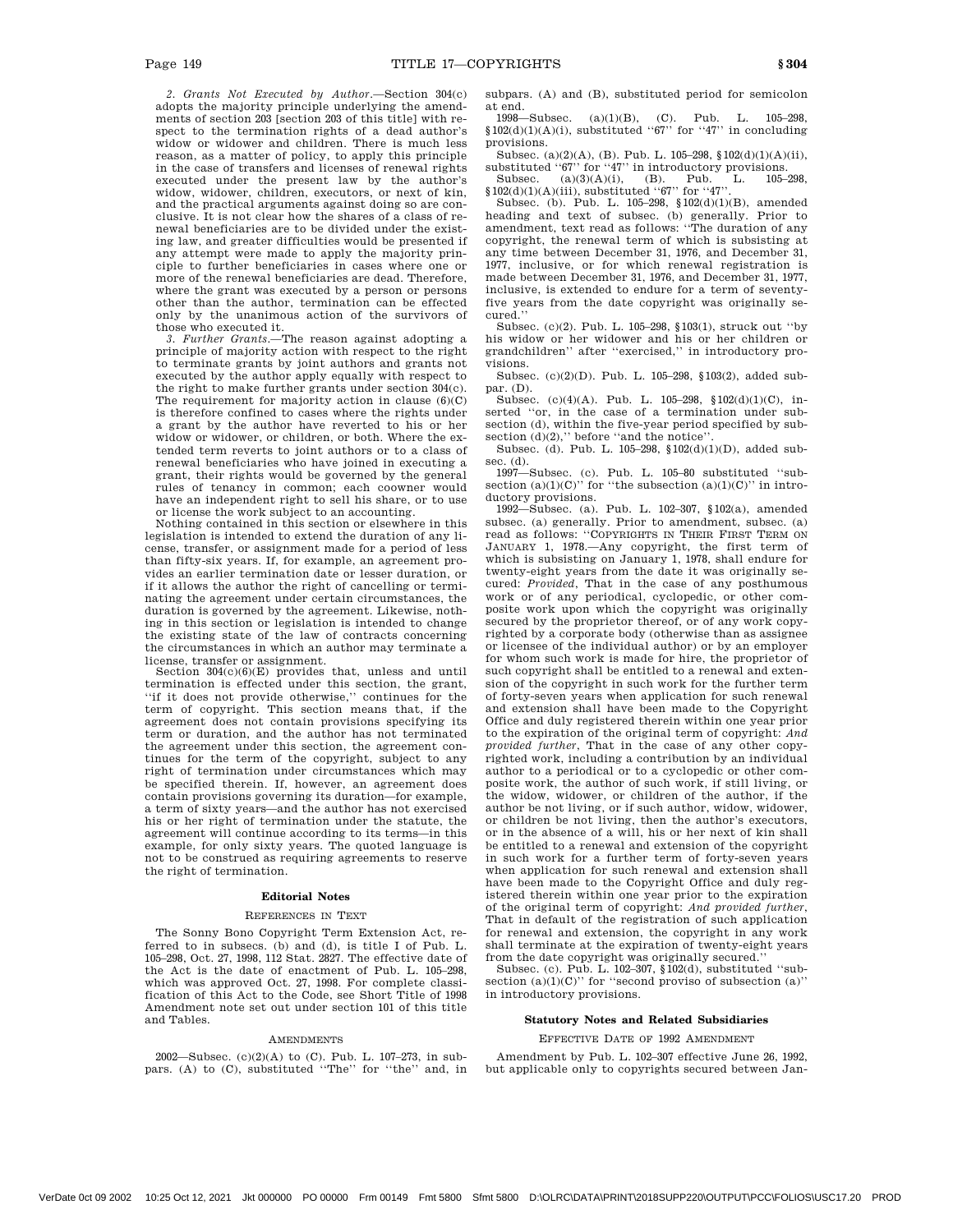*2. Grants Not Executed by Author*.—Section 304(c) adopts the majority principle underlying the amendments of section 203 [section 203 of this title] with respect to the termination rights of a dead author's widow or widower and children. There is much less reason, as a matter of policy, to apply this principle in the case of transfers and licenses of renewal rights executed under the present law by the author's widow, widower, children, executors, or next of kin, and the practical arguments against doing so are conclusive. It is not clear how the shares of a class of renewal beneficiaries are to be divided under the existing law, and greater difficulties would be presented if any attempt were made to apply the majority principle to further beneficiaries in cases where one or more of the renewal beneficiaries are dead. Therefore, where the grant was executed by a person or persons other than the author, termination can be effected only by the unanimous action of the survivors of

those who executed it. *3. Further Grants*.—The reason against adopting a principle of majority action with respect to the right to terminate grants by joint authors and grants not executed by the author apply equally with respect to the right to make further grants under section 304(c). The requirement for majority action in clause (6)(C) is therefore confined to cases where the rights under a grant by the author have reverted to his or her widow or widower, or children, or both. Where the extended term reverts to joint authors or to a class of renewal beneficiaries who have joined in executing a grant, their rights would be governed by the general rules of tenancy in common; each coowner would have an independent right to sell his share, or to use or license the work subject to an accounting.

Nothing contained in this section or elsewhere in this legislation is intended to extend the duration of any license, transfer, or assignment made for a period of less than fifty-six years. If, for example, an agreement provides an earlier termination date or lesser duration, or if it allows the author the right of cancelling or terminating the agreement under certain circumstances, the duration is governed by the agreement. Likewise, nothing in this section or legislation is intended to change the existing state of the law of contracts concerning the circumstances in which an author may terminate a license, transfer or assignment.

Section 304(c)(6)(E) provides that, unless and until termination is effected under this section, the grant, ''if it does not provide otherwise,'' continues for the term of copyright. This section means that, if the agreement does not contain provisions specifying its term or duration, and the author has not terminated the agreement under this section, the agreement continues for the term of the copyright, subject to any right of termination under circumstances which may be specified therein. If, however, an agreement does contain provisions governing its duration—for example, a term of sixty years—and the author has not exercised his or her right of termination under the statute, the agreement will continue according to its terms—in this example, for only sixty years. The quoted language is not to be construed as requiring agreements to reserve the right of termination.

# **Editorial Notes**

# REFERENCES IN TEXT

The Sonny Bono Copyright Term Extension Act, referred to in subsecs. (b) and (d), is title I of Pub. L. 105–298, Oct. 27, 1998, 112 Stat. 2827. The effective date of the Act is the date of enactment of Pub. L. 105–298, which was approved Oct. 27, 1998. For complete classification of this Act to the Code, see Short Title of 1998 Amendment note set out under section 101 of this title and Tables.

#### AMENDMENTS

2002—Subsec. (c)(2)(A) to (C). Pub. L. 107–273, in subpars. (A) to (C), substituted "The" for "the" and, in subpars. (A) and (B), substituted period for semicolon at end.

1998—Subsec. (a)(1)(B), (C). Pub. L. 105–298,  $$102(d)(1)(A)(i)$ , substituted "67" for "47" in concluding provisions.

Subsec. (a)(2)(A), (B). Pub. L. 105–298,  $102(d)(1)(A)(ii)$ , substituted " $67$ " for " $47$ " in introductory provisions.<br>Subsec. (a)(3)(A)(i), (B). Pub. L. 105-298. Subsec. (a)(3)(A)(i), (B). Pub. L. 105–298,

 $$102(d)(1)(A)(iii)$ , substituted "67" for "47". Subsec. (b). Pub. L. 105–298,  $$102(d)(1)(B)$ , amended

heading and text of subsec. (b) generally. Prior to amendment, text read as follows: ''The duration of any copyright, the renewal term of which is subsisting at any time between December 31, 1976, and December 31, 1977, inclusive, or for which renewal registration is made between December 31, 1976, and December 31, 1977, inclusive, is extended to endure for a term of seventyfive years from the date copyright was originally secured.''

Subsec. (c)(2). Pub. L. 105–298, §103(1), struck out ''by his widow or her widower and his or her children or grandchildren'' after ''exercised,'' in introductory provisions.

Subsec. (c)(2)(D). Pub. L. 105–298, §103(2), added subpar. (D).

Subsec. (c)(4)(A). Pub. L. 105–298, §102(d)(1)(C), inserted ''or, in the case of a termination under subsection (d), within the five-year period specified by subsection  $(d)(2)$ ," before "and the notice".

Subsec. (d). Pub. L. 105–298, §102(d)(1)(D), added subsec. (d).

1997—Subsec. (c). Pub. L. 105–80 substituted ''subsection  $(a)(1)(C)$ " for "the subsection  $(a)(1)(C)$ " in introductory provisions.

1992—Subsec. (a). Pub. L. 102–307, §102(a), amended subsec. (a) generally. Prior to amendment, subsec. (a) read as follows: ''COPYRIGHTS IN THEIR FIRST TERM ON JANUARY 1, 1978.—Any copyright, the first term of which is subsisting on January 1, 1978, shall endure for twenty-eight years from the date it was originally secured: *Provided*, That in the case of any posthumous work or of any periodical, cyclopedic, or other composite work upon which the copyright was originally secured by the proprietor thereof, or of any work copyrighted by a corporate body (otherwise than as assignee or licensee of the individual author) or by an employer for whom such work is made for hire, the proprietor of such copyright shall be entitled to a renewal and extension of the copyright in such work for the further term of forty-seven years when application for such renewal and extension shall have been made to the Copyright Office and duly registered therein within one year prior to the expiration of the original term of copyright: *And provided further*, That in the case of any other copyrighted work, including a contribution by an individual author to a periodical or to a cyclopedic or other composite work, the author of such work, if still living, or the widow, widower, or children of the author, if the author be not living, or if such author, widow, widower, or children be not living, then the author's executors, or in the absence of a will, his or her next of kin shall be entitled to a renewal and extension of the copyright in such work for a further term of forty-seven years when application for such renewal and extension shall have been made to the Copyright Office and duly registered therein within one year prior to the expiration of the original term of copyright: *And provided further*, That in default of the registration of such application for renewal and extension, the copyright in any work shall terminate at the expiration of twenty-eight years from the date copyright was originally secured.''

Subsec. (c). Pub. L. 102–307, §102(d), substituted ''subsection  $(a)(1)(C)$ " for "second proviso of subsection  $(a)$ " in introductory provisions.

# **Statutory Notes and Related Subsidiaries**

# EFFECTIVE DATE OF 1992 AMENDMENT

Amendment by Pub. L. 102–307 effective June 26, 1992, but applicable only to copyrights secured between Jan-